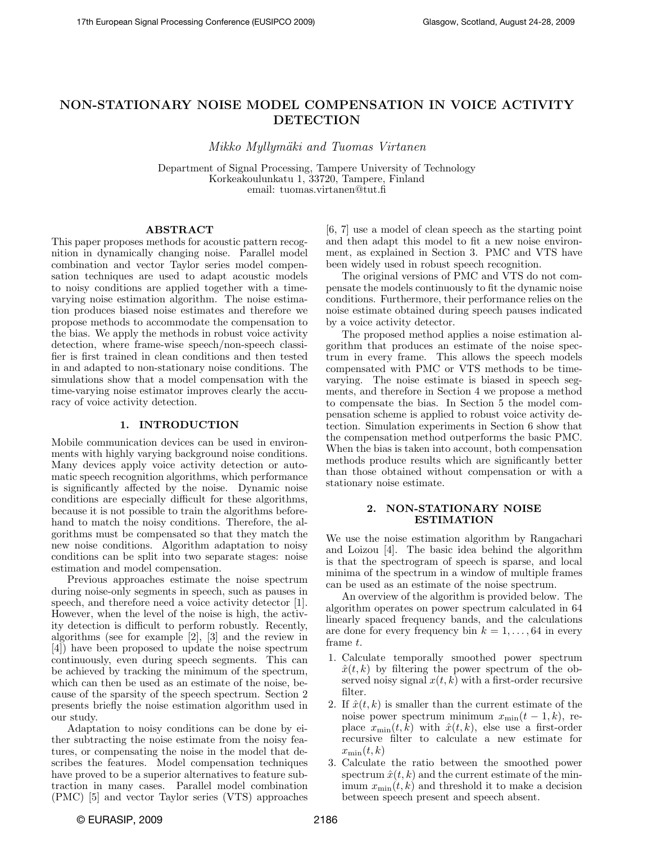# NON-STATIONARY NOISE MODEL COMPENSATION IN VOICE ACTIVITY DETECTION

Mikko Myllymäki and Tuomas Virtanen

Department of Signal Processing, Tampere University of Technology Korkeakoulunkatu 1, 33720, Tampere, Finland email: tuomas.virtanen@tut.fi

### ABSTRACT

This paper proposes methods for acoustic pattern recognition in dynamically changing noise. Parallel model combination and vector Taylor series model compensation techniques are used to adapt acoustic models to noisy conditions are applied together with a timevarying noise estimation algorithm. The noise estimation produces biased noise estimates and therefore we propose methods to accommodate the compensation to the bias. We apply the methods in robust voice activity detection, where frame-wise speech/non-speech classifier is first trained in clean conditions and then tested in and adapted to non-stationary noise conditions. The simulations show that a model compensation with the time-varying noise estimator improves clearly the accuracy of voice activity detection.

#### 1. INTRODUCTION

Mobile communication devices can be used in environments with highly varying background noise conditions. Many devices apply voice activity detection or automatic speech recognition algorithms, which performance is significantly affected by the noise. Dynamic noise conditions are especially difficult for these algorithms, because it is not possible to train the algorithms beforehand to match the noisy conditions. Therefore, the algorithms must be compensated so that they match the new noise conditions. Algorithm adaptation to noisy conditions can be split into two separate stages: noise estimation and model compensation.

Previous approaches estimate the noise spectrum during noise-only segments in speech, such as pauses in speech, and therefore need a voice activity detector [1]. However, when the level of the noise is high, the activity detection is difficult to perform robustly. Recently, algorithms (see for example [2], [3] and the review in [4]) have been proposed to update the noise spectrum continuously, even during speech segments. This can be achieved by tracking the minimum of the spectrum, which can then be used as an estimate of the noise, because of the sparsity of the speech spectrum. Section 2 presents briefly the noise estimation algorithm used in our study.

Adaptation to noisy conditions can be done by either subtracting the noise estimate from the noisy features, or compensating the noise in the model that describes the features. Model compensation techniques have proved to be a superior alternatives to feature subtraction in many cases. Parallel model combination (PMC) [5] and vector Taylor series (VTS) approaches [6, 7] use a model of clean speech as the starting point and then adapt this model to fit a new noise environment, as explained in Section 3. PMC and VTS have been widely used in robust speech recognition.

The original versions of PMC and VTS do not compensate the models continuously to fit the dynamic noise conditions. Furthermore, their performance relies on the noise estimate obtained during speech pauses indicated by a voice activity detector.

The proposed method applies a noise estimation algorithm that produces an estimate of the noise spectrum in every frame. This allows the speech models compensated with PMC or VTS methods to be timevarying. The noise estimate is biased in speech segments, and therefore in Section 4 we propose a method to compensate the bias. In Section 5 the model compensation scheme is applied to robust voice activity detection. Simulation experiments in Section 6 show that the compensation method outperforms the basic PMC. When the bias is taken into account, both compensation methods produce results which are significantly better than those obtained without compensation or with a stationary noise estimate.

#### 2. NON-STATIONARY NOISE ESTIMATION

We use the noise estimation algorithm by Rangachari and Loizou [4]. The basic idea behind the algorithm is that the spectrogram of speech is sparse, and local minima of the spectrum in a window of multiple frames can be used as an estimate of the noise spectrum.

An overview of the algorithm is provided below. The algorithm operates on power spectrum calculated in 64 linearly spaced frequency bands, and the calculations are done for every frequency bin  $k = 1, \ldots, 64$  in every frame t.

- 1. Calculate temporally smoothed power spectrum  $\hat{x}(t, k)$  by filtering the power spectrum of the observed noisy signal  $x(t, k)$  with a first-order recursive filter.
- 2. If  $\hat{x}(t, k)$  is smaller than the current estimate of the noise power spectrum minimum  $x_{\min}(t-1,k)$ , replace  $x_{\min}(t, k)$  with  $\hat{x}(t, k)$ , else use a first-order recursive filter to calculate a new estimate for  $x_{\min}(t, k)$
- 3. Calculate the ratio between the smoothed power spectrum  $\hat{x}(t, k)$  and the current estimate of the minimum  $x_{\min}(t, k)$  and threshold it to make a decision between speech present and speech absent.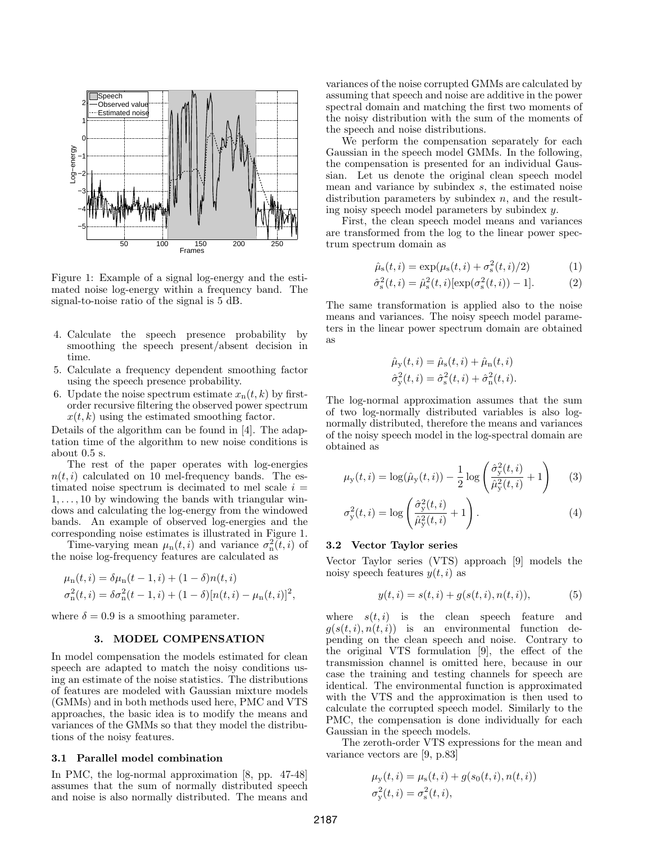

Figure 1: Example of a signal log-energy and the estimated noise log-energy within a frequency band. The signal-to-noise ratio of the signal is 5 dB.

- 4. Calculate the speech presence probability by smoothing the speech present/absent decision in time.
- 5. Calculate a frequency dependent smoothing factor using the speech presence probability.
- 6. Update the noise spectrum estimate  $x_n(t, k)$  by firstorder recursive filtering the observed power spectrum  $x(t, k)$  using the estimated smoothing factor.

Details of the algorithm can be found in [4]. The adaptation time of the algorithm to new noise conditions is about 0.5 s.

The rest of the paper operates with log-energies  $n(t, i)$  calculated on 10 mel-frequency bands. The estimated noise spectrum is decimated to mel scale  $i =$  $1, \ldots, 10$  by windowing the bands with triangular windows and calculating the log-energy from the windowed bands. An example of observed log-energies and the corresponding noise estimates is illustrated in Figure 1.

Time-varying mean  $\mu_n(t, i)$  and variance  $\sigma_n^2(t, i)$  of the noise log-frequency features are calculated as

$$
\mu_{n}(t, i) = \delta \mu_{n}(t - 1, i) + (1 - \delta)n(t, i)
$$
  
\n
$$
\sigma_{n}^{2}(t, i) = \delta \sigma_{n}^{2}(t - 1, i) + (1 - \delta)[n(t, i) - \mu_{n}(t, i)]^{2},
$$

where  $\delta = 0.9$  is a smoothing parameter.

#### 3. MODEL COMPENSATION

In model compensation the models estimated for clean speech are adapted to match the noisy conditions using an estimate of the noise statistics. The distributions of features are modeled with Gaussian mixture models (GMMs) and in both methods used here, PMC and VTS approaches, the basic idea is to modify the means and variances of the GMMs so that they model the distributions of the noisy features.

#### 3.1 Parallel model combination

In PMC, the log-normal approximation [8, pp. 47-48] assumes that the sum of normally distributed speech and noise is also normally distributed. The means and variances of the noise corrupted GMMs are calculated by assuming that speech and noise are additive in the power spectral domain and matching the first two moments of the noisy distribution with the sum of the moments of the speech and noise distributions.

We perform the compensation separately for each Gaussian in the speech model GMMs. In the following, the compensation is presented for an individual Gaussian. Let us denote the original clean speech model mean and variance by subindex s, the estimated noise distribution parameters by subindex  $n$ , and the resulting noisy speech model parameters by subindex y.

First, the clean speech model means and variances are transformed from the log to the linear power spectrum spectrum domain as

$$
\hat{\mu}_{s}(t,i) = \exp(\mu_{s}(t,i) + \sigma_{s}^{2}(t,i)/2)
$$
\n(1)

$$
\hat{\sigma}_{s}^{2}(t,i) = \hat{\mu}_{s}^{2}(t,i)[\exp(\sigma_{s}^{2}(t,i)) - 1].
$$
 (2)

The same transformation is applied also to the noise means and variances. The noisy speech model parameters in the linear power spectrum domain are obtained as

$$
\hat{\mu}_{y}(t, i) = \hat{\mu}_{s}(t, i) + \hat{\mu}_{n}(t, i) \n\hat{\sigma}_{y}^{2}(t, i) = \hat{\sigma}_{s}^{2}(t, i) + \hat{\sigma}_{n}^{2}(t, i).
$$

The log-normal approximation assumes that the sum of two log-normally distributed variables is also lognormally distributed, therefore the means and variances of the noisy speech model in the log-spectral domain are obtained as

$$
\mu_{y}(t,i) = \log(\hat{\mu}_{y}(t,i)) - \frac{1}{2}\log\left(\frac{\hat{\sigma}_{y}^{2}(t,i)}{\hat{\mu}_{y}^{2}(t,i)} + 1\right) \quad (3)
$$

$$
\sigma_{\mathbf{y}}^2(t,i) = \log\left(\frac{\hat{\sigma}_{\mathbf{y}}^2(t,i)}{\hat{\mu}_{\mathbf{y}}^2(t,i)} + 1\right).
$$
\n(4)

#### 3.2 Vector Taylor series

Vector Taylor series (VTS) approach [9] models the noisy speech features  $y(t, i)$  as

$$
y(t, i) = s(t, i) + g(s(t, i), n(t, i)),
$$
\n(5)

where  $s(t, i)$  is the clean speech feature and  $q(s(t, i), n(t, i))$  is an environmental function depending on the clean speech and noise. Contrary to the original VTS formulation [9], the effect of the transmission channel is omitted here, because in our case the training and testing channels for speech are identical. The environmental function is approximated with the VTS and the approximation is then used to calculate the corrupted speech model. Similarly to the PMC, the compensation is done individually for each Gaussian in the speech models.

The zeroth-order VTS expressions for the mean and variance vectors are [9, p.83]

$$
\mu_{y}(t, i) = \mu_{s}(t, i) + g(s_{0}(t, i), n(t, i))
$$
  

$$
\sigma_{y}^{2}(t, i) = \sigma_{s}^{2}(t, i),
$$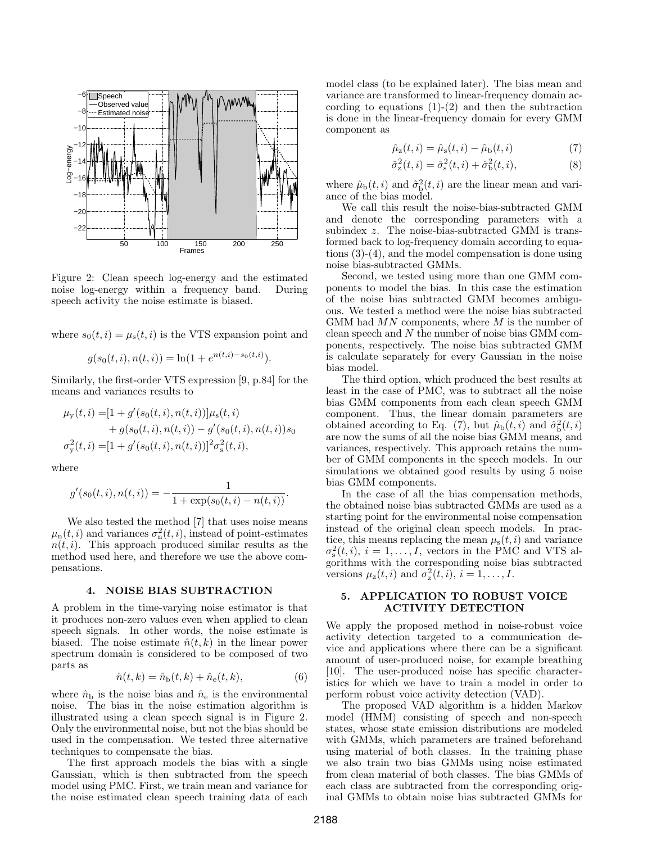

Figure 2: Clean speech log-energy and the estimated noise log-energy within a frequency band. During speech activity the noise estimate is biased.

where  $s_0(t, i) = \mu_s(t, i)$  is the VTS expansion point and

$$
g(s_0(t, i), n(t, i)) = \ln(1 + e^{n(t, i) - s_0(t, i)}).
$$

Similarly, the first-order VTS expression [9, p.84] for the means and variances results to

$$
\mu_{\mathbf{y}}(t,i) = [1 + g'(s_0(t,i), n(t,i))] \mu_{\mathbf{s}}(t,i) + g(s_0(t,i), n(t,i)) - g'(s_0(t,i), n(t,i)) s_0 \sigma_{\mathbf{y}}^2(t,i) = [1 + g'(s_0(t,i), n(t,i))]^2 \sigma_{\mathbf{s}}^2(t,i),
$$

where

$$
g'(s_0(t, i), n(t, i)) = -\frac{1}{1 + \exp(s_0(t, i) - n(t, i))}.
$$

We also tested the method [7] that uses noise means  $\mu_{\rm n}(t,i)$  and variances  $\sigma_{\rm n}^2(t,i)$ , instead of point-estimates  $n(t, i)$ . This approach produced similar results as the method used here, and therefore we use the above compensations.

### 4. NOISE BIAS SUBTRACTION

A problem in the time-varying noise estimator is that it produces non-zero values even when applied to clean speech signals. In other words, the noise estimate is biased. The noise estimate  $\hat{n}(t, k)$  in the linear power spectrum domain is considered to be composed of two parts as

$$
\hat{n}(t,k) = \hat{n}_{\text{b}}(t,k) + \hat{n}_{\text{e}}(t,k),
$$
\n(6)

where  $\hat{n}_{\rm b}$  is the noise bias and  $\hat{n}_{\rm e}$  is the environmental noise. The bias in the noise estimation algorithm is illustrated using a clean speech signal is in Figure 2. Only the environmental noise, but not the bias should be used in the compensation. We tested three alternative techniques to compensate the bias.

The first approach models the bias with a single Gaussian, which is then subtracted from the speech model using PMC. First, we train mean and variance for the noise estimated clean speech training data of each model class (to be explained later). The bias mean and variance are transformed to linear-frequency domain according to equations  $(1)-(2)$  and then the subtraction is done in the linear-frequency domain for every GMM component as

$$
\hat{\mu}_{z}(t,i) = \hat{\mu}_{s}(t,i) - \hat{\mu}_{b}(t,i)
$$
\n(7)

$$
\hat{\sigma}_{z}^{2}(t,i) = \hat{\sigma}_{s}^{2}(t,i) + \hat{\sigma}_{b}^{2}(t,i),
$$
\n(8)

where  $\hat{\mu}_{\mathrm{b}}(t, i)$  and  $\hat{\sigma}_{\mathrm{b}}^2(t, i)$  are the linear mean and variance of the bias model.

We call this result the noise-bias-subtracted GMM and denote the corresponding parameters with a subindex z. The noise-bias-subtracted GMM is transformed back to log-frequency domain according to equations (3)-(4), and the model compensation is done using noise bias-subtracted GMMs.

Second, we tested using more than one GMM components to model the bias. In this case the estimation of the noise bias subtracted GMM becomes ambiguous. We tested a method were the noise bias subtracted GMM had  $MN$  components, where  $M$  is the number of clean speech and N the number of noise bias GMM components, respectively. The noise bias subtracted GMM is calculate separately for every Gaussian in the noise bias model.

The third option, which produced the best results at least in the case of PMC, was to subtract all the noise bias GMM components from each clean speech GMM component. Thus, the linear domain parameters are obtained according to Eq. (7), but  $\hat{\mu}_b(t, i)$  and  $\hat{\sigma}_b^2(t, i)$ are now the sums of all the noise bias GMM means, and variances, respectively. This approach retains the number of GMM components in the speech models. In our simulations we obtained good results by using 5 noise bias GMM components.

In the case of all the bias compensation methods, the obtained noise bias subtracted GMMs are used as a starting point for the environmental noise compensation instead of the original clean speech models. In practice, this means replacing the mean  $\mu_s(t, i)$  and variance  $\sigma_s^2(t, i)$ ,  $i = 1, \ldots, I$ , vectors in the PMC and VTS algorithms with the corresponding noise bias subtracted versions  $\mu_z(t, i)$  and  $\sigma_z^2(t, i)$ ,  $i = 1, \ldots, I$ .

#### 5. APPLICATION TO ROBUST VOICE ACTIVITY DETECTION

We apply the proposed method in noise-robust voice activity detection targeted to a communication device and applications where there can be a significant amount of user-produced noise, for example breathing [10]. The user-produced noise has specific characteristics for which we have to train a model in order to perform robust voice activity detection (VAD).

The proposed VAD algorithm is a hidden Markov model (HMM) consisting of speech and non-speech states, whose state emission distributions are modeled with GMMs, which parameters are trained beforehand using material of both classes. In the training phase we also train two bias GMMs using noise estimated from clean material of both classes. The bias GMMs of each class are subtracted from the corresponding original GMMs to obtain noise bias subtracted GMMs for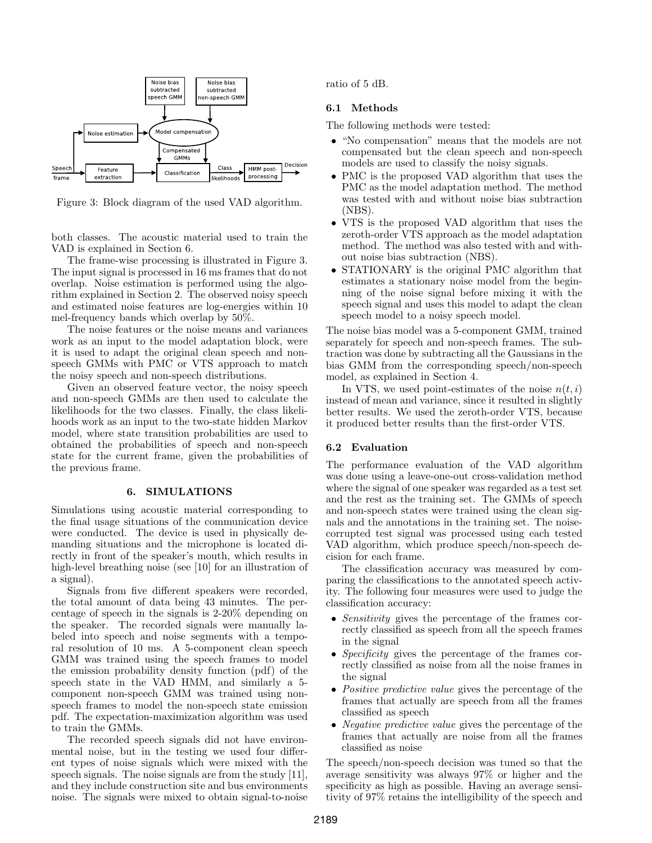

Figure 3: Block diagram of the used VAD algorithm.

both classes. The acoustic material used to train the VAD is explained in Section 6.

The frame-wise processing is illustrated in Figure 3. The input signal is processed in 16 ms frames that do not overlap. Noise estimation is performed using the algorithm explained in Section 2. The observed noisy speech and estimated noise features are log-energies within 10 mel-frequency bands which overlap by 50%.

The noise features or the noise means and variances work as an input to the model adaptation block, were it is used to adapt the original clean speech and nonspeech GMMs with PMC or VTS approach to match the noisy speech and non-speech distributions.

Given an observed feature vector, the noisy speech and non-speech GMMs are then used to calculate the likelihoods for the two classes. Finally, the class likelihoods work as an input to the two-state hidden Markov model, where state transition probabilities are used to obtained the probabilities of speech and non-speech state for the current frame, given the probabilities of the previous frame.

#### 6. SIMULATIONS

Simulations using acoustic material corresponding to the final usage situations of the communication device were conducted. The device is used in physically demanding situations and the microphone is located directly in front of the speaker's mouth, which results in high-level breathing noise (see [10] for an illustration of a signal).

Signals from five different speakers were recorded, the total amount of data being 43 minutes. The percentage of speech in the signals is 2-20% depending on the speaker. The recorded signals were manually labeled into speech and noise segments with a temporal resolution of 10 ms. A 5-component clean speech GMM was trained using the speech frames to model the emission probability density function (pdf) of the speech state in the VAD HMM, and similarly a 5 component non-speech GMM was trained using nonspeech frames to model the non-speech state emission pdf. The expectation-maximization algorithm was used to train the GMMs.

The recorded speech signals did not have environmental noise, but in the testing we used four different types of noise signals which were mixed with the speech signals. The noise signals are from the study [11], and they include construction site and bus environments noise. The signals were mixed to obtain signal-to-noise ratio of 5 dB.

#### 6.1 Methods

The following methods were tested:

- "No compensation" means that the models are not compensated but the clean speech and non-speech models are used to classify the noisy signals.
- PMC is the proposed VAD algorithm that uses the PMC as the model adaptation method. The method was tested with and without noise bias subtraction (NBS).
- VTS is the proposed VAD algorithm that uses the zeroth-order VTS approach as the model adaptation method. The method was also tested with and without noise bias subtraction (NBS).
- STATIONARY is the original PMC algorithm that estimates a stationary noise model from the beginning of the noise signal before mixing it with the speech signal and uses this model to adapt the clean speech model to a noisy speech model.

The noise bias model was a 5-component GMM, trained separately for speech and non-speech frames. The subtraction was done by subtracting all the Gaussians in the bias GMM from the corresponding speech/non-speech model, as explained in Section 4.

In VTS, we used point-estimates of the noise  $n(t, i)$ instead of mean and variance, since it resulted in slightly better results. We used the zeroth-order VTS, because it produced better results than the first-order VTS.

### 6.2 Evaluation

The performance evaluation of the VAD algorithm was done using a leave-one-out cross-validation method where the signal of one speaker was regarded as a test set and the rest as the training set. The GMMs of speech and non-speech states were trained using the clean signals and the annotations in the training set. The noisecorrupted test signal was processed using each tested VAD algorithm, which produce speech/non-speech decision for each frame.

The classification accuracy was measured by comparing the classifications to the annotated speech activity. The following four measures were used to judge the classification accuracy:

- *Sensitivity* gives the percentage of the frames correctly classified as speech from all the speech frames in the signal
- Specificity gives the percentage of the frames correctly classified as noise from all the noise frames in the signal
- Positive predictive value gives the percentage of the frames that actually are speech from all the frames classified as speech
- *Negative predictive value* gives the percentage of the frames that actually are noise from all the frames classified as noise

The speech/non-speech decision was tuned so that the average sensitivity was always 97% or higher and the specificity as high as possible. Having an average sensitivity of 97% retains the intelligibility of the speech and